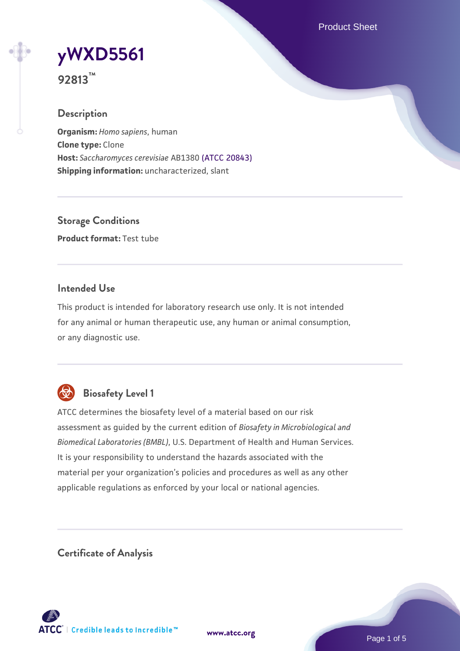Product Sheet

# **[yWXD5561](https://www.atcc.org/products/92813)**

**92813™**

## **Description**

**Organism:** *Homo sapiens*, human **Clone type:** Clone **Host:** *Saccharomyces cerevisiae* AB1380 [\(ATCC 20843\)](https://www.atcc.org/products/20843) **Shipping information:** uncharacterized, slant

**Storage Conditions Product format:** Test tube

## **Intended Use**

This product is intended for laboratory research use only. It is not intended for any animal or human therapeutic use, any human or animal consumption, or any diagnostic use.



# **Biosafety Level 1**

ATCC determines the biosafety level of a material based on our risk assessment as guided by the current edition of *Biosafety in Microbiological and Biomedical Laboratories (BMBL)*, U.S. Department of Health and Human Services. It is your responsibility to understand the hazards associated with the material per your organization's policies and procedures as well as any other applicable regulations as enforced by your local or national agencies.

**Certificate of Analysis**

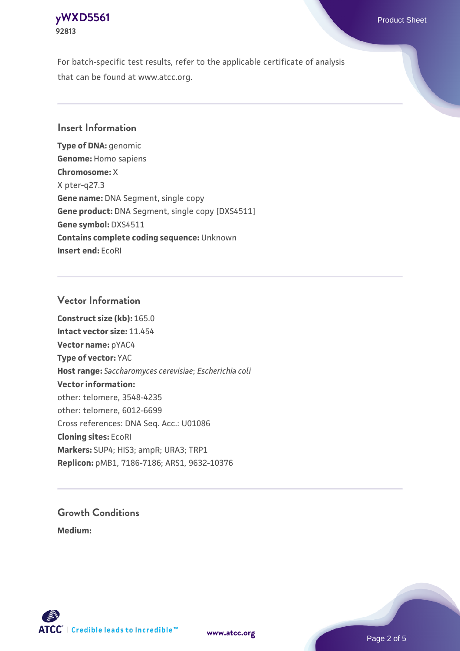## **[yWXD5561](https://www.atcc.org/products/92813)** Product Sheet **92813**

For batch-specific test results, refer to the applicable certificate of analysis that can be found at www.atcc.org.

## **Insert Information**

**Type of DNA:** genomic **Genome:** Homo sapiens **Chromosome:** X X pter-q27.3 **Gene name:** DNA Segment, single copy **Gene product:** DNA Segment, single copy [DXS4511] **Gene symbol:** DXS4511 **Contains complete coding sequence:** Unknown **Insert end:** EcoRI

## **Vector Information**

**Construct size (kb):** 165.0 **Intact vector size:** 11.454 **Vector name:** pYAC4 **Type of vector:** YAC **Host range:** *Saccharomyces cerevisiae*; *Escherichia coli* **Vector information:** other: telomere, 3548-4235 other: telomere, 6012-6699 Cross references: DNA Seq. Acc.: U01086 **Cloning sites:** EcoRI **Markers:** SUP4; HIS3; ampR; URA3; TRP1 **Replicon:** pMB1, 7186-7186; ARS1, 9632-10376

# **Growth Conditions**

**Medium:** 



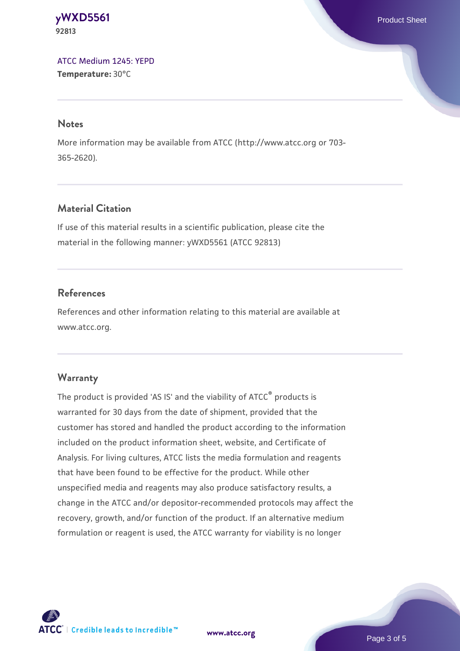**[yWXD5561](https://www.atcc.org/products/92813)** Product Sheet **92813**

[ATCC Medium 1245: YEPD](https://www.atcc.org/-/media/product-assets/documents/microbial-media-formulations/1/2/4/5/atcc-medium-1245.pdf?rev=705ca55d1b6f490a808a965d5c072196) **Temperature:** 30°C

#### **Notes**

More information may be available from ATCC (http://www.atcc.org or 703- 365-2620).

## **Material Citation**

If use of this material results in a scientific publication, please cite the material in the following manner: yWXD5561 (ATCC 92813)

## **References**

References and other information relating to this material are available at www.atcc.org.

#### **Warranty**

The product is provided 'AS IS' and the viability of ATCC® products is warranted for 30 days from the date of shipment, provided that the customer has stored and handled the product according to the information included on the product information sheet, website, and Certificate of Analysis. For living cultures, ATCC lists the media formulation and reagents that have been found to be effective for the product. While other unspecified media and reagents may also produce satisfactory results, a change in the ATCC and/or depositor-recommended protocols may affect the recovery, growth, and/or function of the product. If an alternative medium formulation or reagent is used, the ATCC warranty for viability is no longer



**[www.atcc.org](http://www.atcc.org)**

Page 3 of 5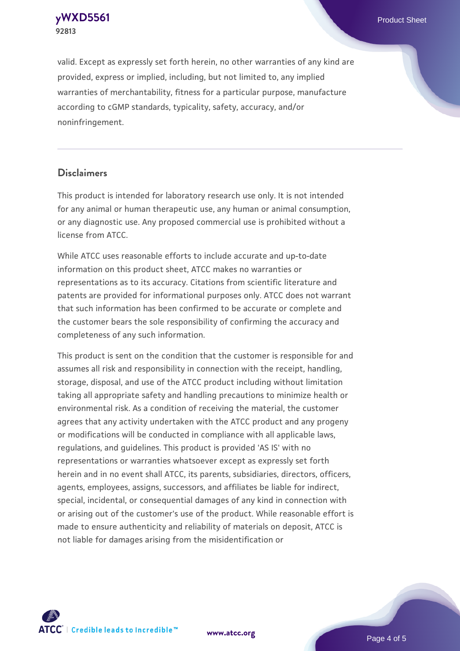**[yWXD5561](https://www.atcc.org/products/92813)** Product Sheet **92813**

valid. Except as expressly set forth herein, no other warranties of any kind are provided, express or implied, including, but not limited to, any implied warranties of merchantability, fitness for a particular purpose, manufacture according to cGMP standards, typicality, safety, accuracy, and/or noninfringement.

#### **Disclaimers**

This product is intended for laboratory research use only. It is not intended for any animal or human therapeutic use, any human or animal consumption, or any diagnostic use. Any proposed commercial use is prohibited without a license from ATCC.

While ATCC uses reasonable efforts to include accurate and up-to-date information on this product sheet, ATCC makes no warranties or representations as to its accuracy. Citations from scientific literature and patents are provided for informational purposes only. ATCC does not warrant that such information has been confirmed to be accurate or complete and the customer bears the sole responsibility of confirming the accuracy and completeness of any such information.

This product is sent on the condition that the customer is responsible for and assumes all risk and responsibility in connection with the receipt, handling, storage, disposal, and use of the ATCC product including without limitation taking all appropriate safety and handling precautions to minimize health or environmental risk. As a condition of receiving the material, the customer agrees that any activity undertaken with the ATCC product and any progeny or modifications will be conducted in compliance with all applicable laws, regulations, and guidelines. This product is provided 'AS IS' with no representations or warranties whatsoever except as expressly set forth herein and in no event shall ATCC, its parents, subsidiaries, directors, officers, agents, employees, assigns, successors, and affiliates be liable for indirect, special, incidental, or consequential damages of any kind in connection with or arising out of the customer's use of the product. While reasonable effort is made to ensure authenticity and reliability of materials on deposit, ATCC is not liable for damages arising from the misidentification or



**[www.atcc.org](http://www.atcc.org)**

Page 4 of 5